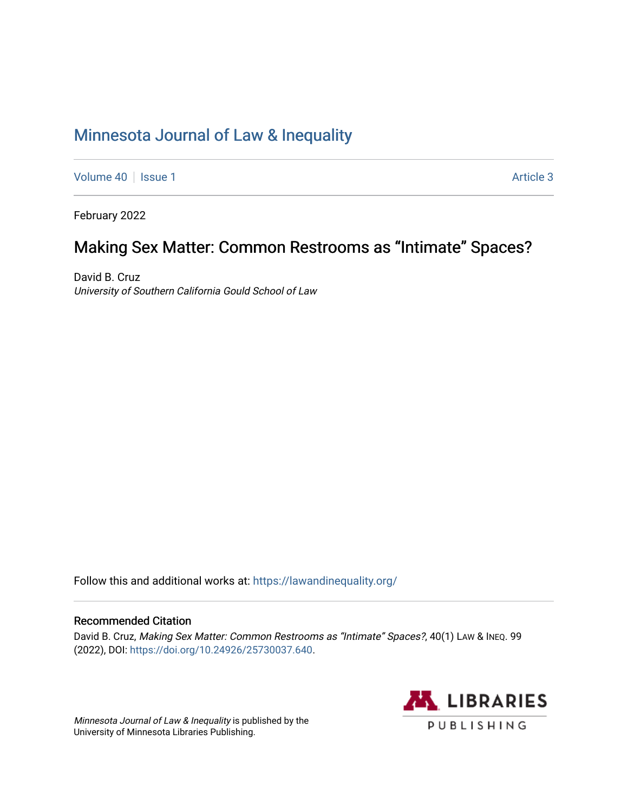# [Minnesota Journal of Law & Inequality](https://scholarship.law.umn.edu/lawineq)

[Volume 40](https://scholarship.law.umn.edu/lawineq/vol40) | [Issue 1](https://scholarship.law.umn.edu/lawineq/vol40/iss1) Article 3

February 2022

# Making Sex Matter: Common Restrooms as "Intimate" Spaces?

David B. Cruz University of Southern California Gould School of Law

Follow this and additional works at: <https://lawandinequality.org/>

# Recommended Citation

David B. Cruz, Making Sex Matter: Common Restrooms as "Intimate" Spaces?, 40(1) LAW & INEQ. 99 (2022), DOI: [https://doi.org/10.24926/25730037.640.](https://doi.org/10.24926/25730037.640)

Minnesota Journal of Law & Inequality is published by the University of Minnesota Libraries Publishing.

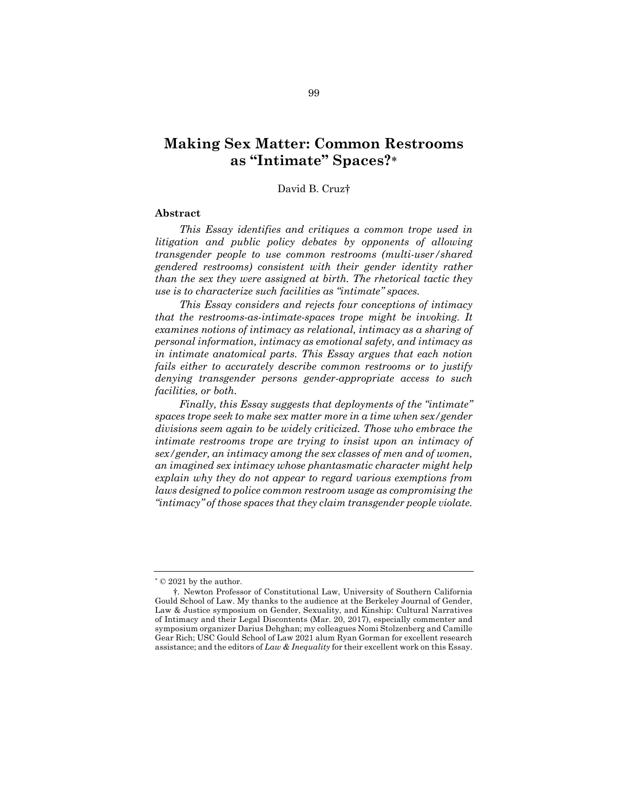# **Making Sex Matter: Common Restrooms as "Intimate" Spaces?**\*

# David B. Cruz†

### **Abstract**

*This Essay identifies and critiques a common trope used in litigation and public policy debates by opponents of allowing transgender people to use common restrooms (multi-user/shared gendered restrooms) consistent with their gender identity rather than the sex they were assigned at birth. The rhetorical tactic they use is to characterize such facilities as "intimate" spaces.*

*This Essay considers and rejects four conceptions of intimacy that the restrooms-as-intimate-spaces trope might be invoking. It examines notions of intimacy as relational, intimacy as a sharing of personal information, intimacy as emotional safety, and intimacy as in intimate anatomical parts. This Essay argues that each notion fails either to accurately describe common restrooms or to justify denying transgender persons gender-appropriate access to such facilities, or both.*

*Finally, this Essay suggests that deployments of the "intimate" spaces trope seek to make sex matter more in a time when sex/gender divisions seem again to be widely criticized. Those who embrace the intimate restrooms trope are trying to insist upon an intimacy of sex/gender, an intimacy among the sex classes of men and of women, an imagined sex intimacy whose phantasmatic character might help explain why they do not appear to regard various exemptions from laws designed to police common restroom usage as compromising the "intimacy" of those spaces that they claim transgender people violate.*

<sup>\*</sup> © 2021 by the author.

<sup>†.</sup> Newton Professor of Constitutional Law, University of Southern California Gould School of Law. My thanks to the audience at the Berkeley Journal of Gender, Law & Justice symposium on Gender, Sexuality, and Kinship: Cultural Narratives of Intimacy and their Legal Discontents (Mar. 20, 2017), especially commenter and symposium organizer Darius Dehghan; my colleagues Nomi Stolzenberg and Camille Gear Rich; USC Gould School of Law 2021 alum Ryan Gorman for excellent research assistance; and the editors of *Law & Inequality* for their excellent work on this Essay.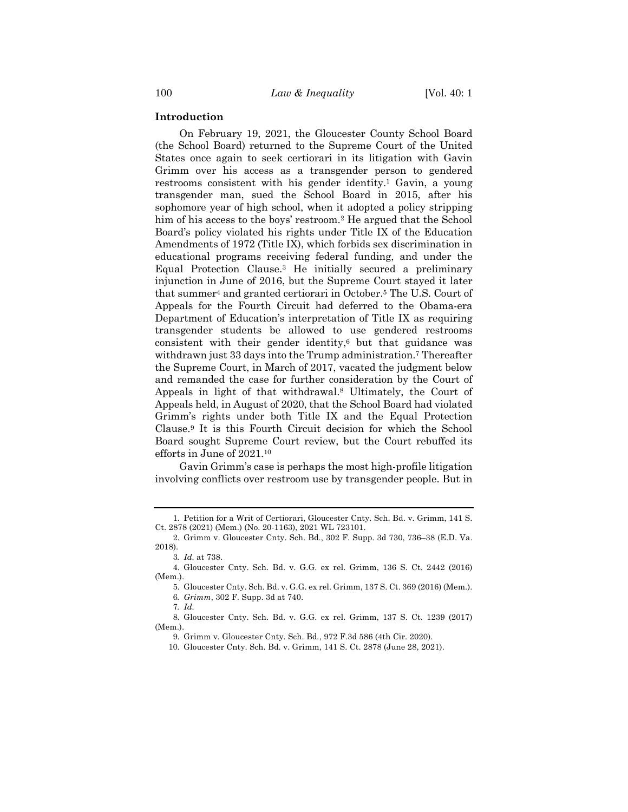### **Introduction**

On February 19, 2021, the Gloucester County School Board (the School Board) returned to the Supreme Court of the United States once again to seek certiorari in its litigation with Gavin Grimm over his access as a transgender person to gendered restrooms consistent with his gender identity.<sup>1</sup> Gavin, a young transgender man, sued the School Board in 2015, after his sophomore year of high school, when it adopted a policy stripping him of his access to the boys' restroom.2 He argued that the School Board's policy violated his rights under Title IX of the Education Amendments of 1972 (Title IX), which forbids sex discrimination in educational programs receiving federal funding, and under the Equal Protection Clause.3 He initially secured a preliminary injunction in June of 2016, but the Supreme Court stayed it later that summer4 and granted certiorari in October.5 The U.S. Court of Appeals for the Fourth Circuit had deferred to the Obama-era Department of Education's interpretation of Title IX as requiring transgender students be allowed to use gendered restrooms consistent with their gender identity,6 but that guidance was withdrawn just 33 days into the Trump administration.7 Thereafter the Supreme Court, in March of 2017, vacated the judgment below and remanded the case for further consideration by the Court of Appeals in light of that withdrawal.8 Ultimately, the Court of Appeals held, in August of 2020, that the School Board had violated Grimm's rights under both Title IX and the Equal Protection Clause.9 It is this Fourth Circuit decision for which the School Board sought Supreme Court review, but the Court rebuffed its efforts in June of 2021.10

Gavin Grimm's case is perhaps the most high-profile litigation involving conflicts over restroom use by transgender people. But in

7*. Id.*

<sup>1.</sup> Petition for a Writ of Certiorari, Gloucester Cnty. Sch. Bd. v. Grimm, 141 S. Ct. 2878 (2021) (Mem.) (No. 20-1163), 2021 WL 723101.

<sup>2.</sup> Grimm v. Gloucester Cnty. Sch. Bd*.*, 302 F. Supp. 3d 730, 736–38 (E.D. Va. 2018).

<sup>3</sup>*. Id.* at 738.

<sup>4.</sup> Gloucester Cnty. Sch. Bd. v. G.G. ex rel. Grimm, 136 S. Ct. 2442 (2016) (Mem.).

<sup>5.</sup> Gloucester Cnty. Sch. Bd. v. G.G. ex rel. Grimm, 137 S. Ct. 369 (2016) (Mem.). 6*. Grimm*, 302 F. Supp. 3d at 740.

<sup>8.</sup> Gloucester Cnty. Sch. Bd. v. G.G. ex rel. Grimm, 137 S. Ct. 1239 (2017) (Mem.).

<sup>9.</sup> Grimm v. Gloucester Cnty. Sch. Bd*.*, 972 F.3d 586 (4th Cir. 2020).

<sup>10.</sup> Gloucester Cnty. Sch. Bd. v. Grimm, 141 S. Ct. 2878 (June 28, 2021).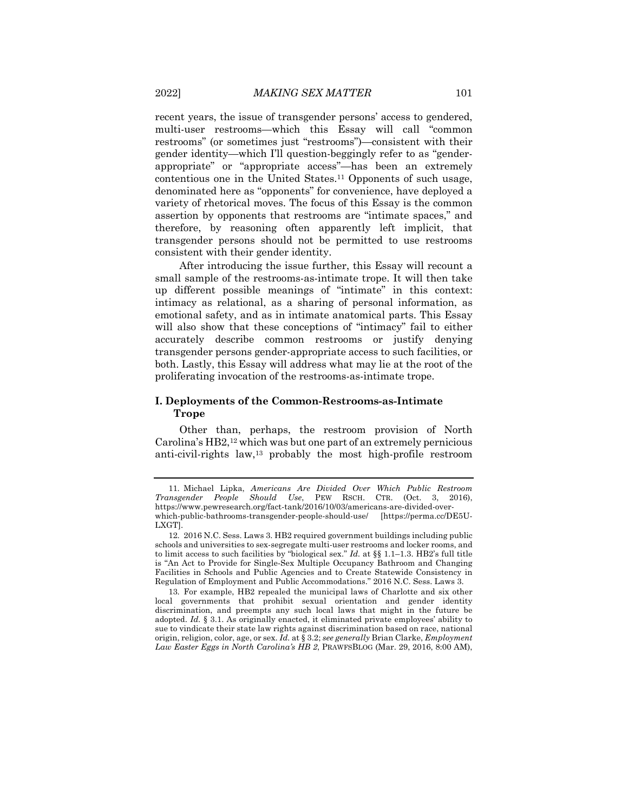recent years, the issue of transgender persons' access to gendered, multi-user restrooms—which this Essay will call "common restrooms" (or sometimes just "restrooms")—consistent with their gender identity—which I'll question-beggingly refer to as "genderappropriate" or "appropriate access"—has been an extremely contentious one in the United States.11 Opponents of such usage, denominated here as "opponents" for convenience, have deployed a variety of rhetorical moves. The focus of this Essay is the common assertion by opponents that restrooms are "intimate spaces," and therefore, by reasoning often apparently left implicit, that transgender persons should not be permitted to use restrooms consistent with their gender identity.

After introducing the issue further, this Essay will recount a small sample of the restrooms-as-intimate trope. It will then take up different possible meanings of "intimate" in this context: intimacy as relational, as a sharing of personal information, as emotional safety, and as in intimate anatomical parts. This Essay will also show that these conceptions of "intimacy" fail to either accurately describe common restrooms or justify denying transgender persons gender-appropriate access to such facilities, or both. Lastly, this Essay will address what may lie at the root of the proliferating invocation of the restrooms-as-intimate trope.

# **I. Deployments of the Common-Restrooms-as-Intimate Trope**

Other than, perhaps, the restroom provision of North Carolina's HB2,12 which was but one part of an extremely pernicious anti-civil-rights law,13 probably the most high-profile restroom

<sup>11.</sup> Michael Lipka, *Americans Are Divided Over Which Public Restroom Transgender People Should Use*, PEW RSCH. CTR. (Oct. 3, 2016), https://www.pewresearch.org/fact-tank/2016/10/03/americans-are-divided-overwhich-public-bathrooms-transgender-people-should-use/ [https://perma.cc/DE5U-LXGT].

<sup>12.</sup> 2016 N.C. Sess. Laws 3. HB2 required government buildings including public schools and universities to sex-segregate multi-user restrooms and locker rooms, and to limit access to such facilities by "biological sex." *Id.* at §§ 1.1–1.3. HB2's full title is "An Act to Provide for Single-Sex Multiple Occupancy Bathroom and Changing Facilities in Schools and Public Agencies and to Create Statewide Consistency in Regulation of Employment and Public Accommodations." 2016 N.C. Sess. Laws 3.

<sup>13.</sup> For example, HB2 repealed the municipal laws of Charlotte and six other local governments that prohibit sexual orientation and gender identity discrimination, and preempts any such local laws that might in the future be adopted. *Id.* § 3.1. As originally enacted, it eliminated private employees' ability to sue to vindicate their state law rights against discrimination based on race, national origin, religion, color, age, or sex. *Id.* at § 3.2; *see generally* Brian Clarke, *Employment Law Easter Eggs in North Carolina's HB 2*, PRAWFSBLOG (Mar. 29, 2016, 8:00 AM),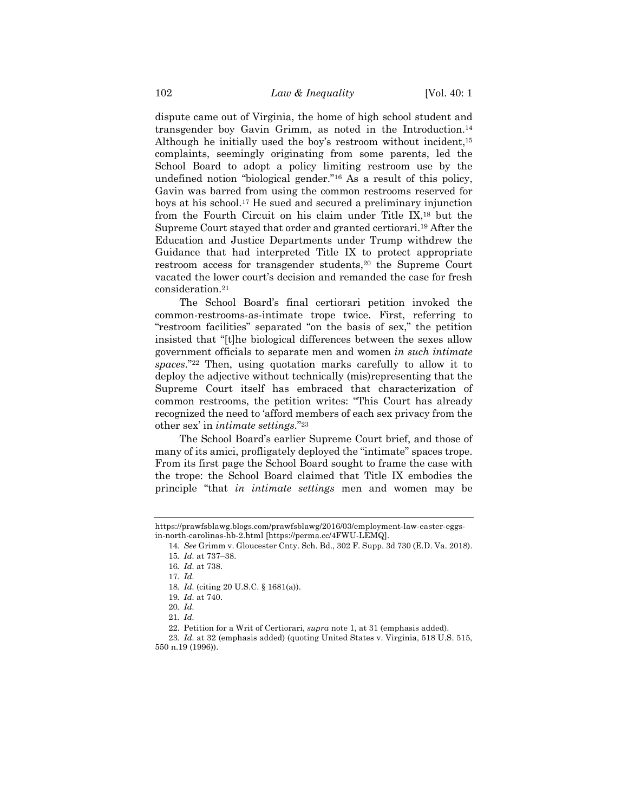dispute came out of Virginia, the home of high school student and transgender boy Gavin Grimm, as noted in the Introduction.14 Although he initially used the boy's restroom without incident,<sup>15</sup> complaints, seemingly originating from some parents, led the School Board to adopt a policy limiting restroom use by the undefined notion "biological gender."16 As a result of this policy, Gavin was barred from using the common restrooms reserved for boys at his school.17 He sued and secured a preliminary injunction from the Fourth Circuit on his claim under Title IX,18 but the Supreme Court stayed that order and granted certiorari.19 After the Education and Justice Departments under Trump withdrew the Guidance that had interpreted Title IX to protect appropriate restroom access for transgender students,20 the Supreme Court vacated the lower court's decision and remanded the case for fresh consideration.21

The School Board's final certiorari petition invoked the common-restrooms-as-intimate trope twice. First, referring to "restroom facilities" separated "on the basis of sex," the petition insisted that "[t]he biological differences between the sexes allow government officials to separate men and women *in such intimate spaces*."22 Then, using quotation marks carefully to allow it to deploy the adjective without technically (mis)representing that the Supreme Court itself has embraced that characterization of common restrooms, the petition writes: "This Court has already recognized the need to 'afford members of each sex privacy from the other sex' in *intimate settings*."23

The School Board's earlier Supreme Court brief, and those of many of its amici, profligately deployed the "intimate" spaces trope. From its first page the School Board sought to frame the case with the trope: the School Board claimed that Title IX embodies the principle "that *in intimate settings* men and women may be

https://prawfsblawg.blogs.com/prawfsblawg/2016/03/employment-law-easter-eggsin-north-carolinas-hb-2.html [https://perma.cc/4FWU-LEMQ].

<sup>14</sup>*. See* Grimm v. Gloucester Cnty. Sch. Bd., 302 F. Supp. 3d 730 (E.D. Va. 2018).

<sup>15</sup>*. Id.* at 737–38.

<sup>16</sup>*. Id.* at 738.

<sup>17</sup>*. Id.*

<sup>18</sup>*. Id.* (citing 20 U.S.C. § 1681(a)).

<sup>19</sup>*. Id.* at 740.

<sup>20</sup>*. Id.*

<sup>21</sup>*. Id.*

<sup>22.</sup> Petition for a Writ of Certiorari, *supra* note 1, at 31 (emphasis added).

<sup>23</sup>*. Id.* at 32 (emphasis added) (quoting United States v. Virginia, 518 U.S. 515, 550 n.19 (1996)).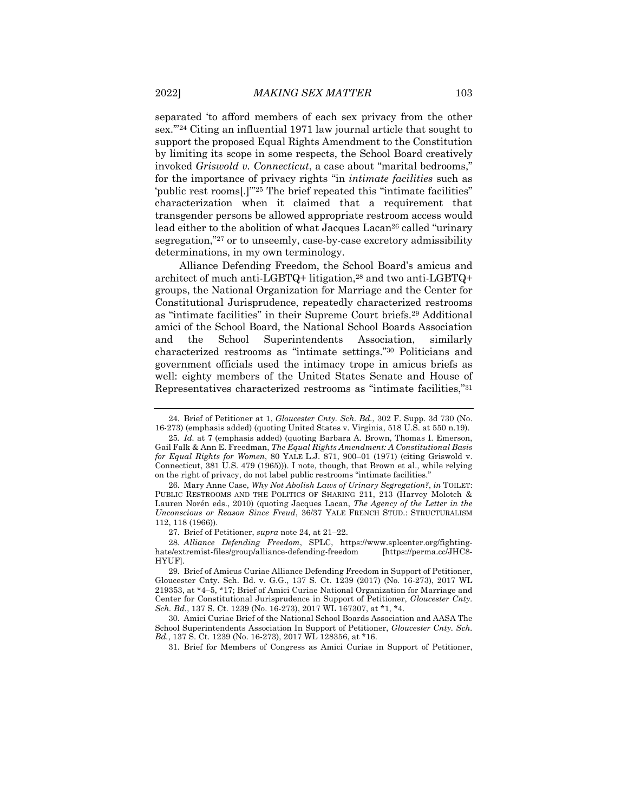separated 'to afford members of each sex privacy from the other sex.'"24 Citing an influential 1971 law journal article that sought to support the proposed Equal Rights Amendment to the Constitution by limiting its scope in some respects, the School Board creatively invoked *Griswold v. Connecticut*, a case about "marital bedrooms," for the importance of privacy rights "in *intimate facilities* such as 'public rest rooms[.]'"25 The brief repeated this "intimate facilities" characterization when it claimed that a requirement that transgender persons be allowed appropriate restroom access would lead either to the abolition of what Jacques Lacan<sup>26</sup> called "urinary segregation,"27 or to unseemly, case-by-case excretory admissibility determinations, in my own terminology.

Alliance Defending Freedom, the School Board's amicus and architect of much anti-LGBTQ+ litigation,28 and two anti-LGBTQ+ groups, the National Organization for Marriage and the Center for Constitutional Jurisprudence, repeatedly characterized restrooms as "intimate facilities" in their Supreme Court briefs.29 Additional amici of the School Board, the National School Boards Association and the School Superintendents Association, similarly characterized restrooms as "intimate settings."30 Politicians and government officials used the intimacy trope in amicus briefs as well: eighty members of the United States Senate and House of Representatives characterized restrooms as "intimate facilities,"31

31. Brief for Members of Congress as Amici Curiae in Support of Petitioner,

<sup>24.</sup> Brief of Petitioner at 1, *Gloucester Cnty. Sch. Bd.*, 302 F. Supp. 3d 730 (No. 16-273) (emphasis added) (quoting United States v. Virginia, 518 U.S. at 550 n.19).

<sup>25</sup>*. Id.* at 7 (emphasis added) (quoting Barbara A. Brown, Thomas I. Emerson, Gail Falk & Ann E. Freedman, *The Equal Rights Amendment: A Constitutional Basis for Equal Rights for Women*, 80 YALE L.J. 871, 900–01 (1971) (citing Griswold v. Connecticut, 381 U.S. 479 (1965))). I note, though, that Brown et al., while relying on the right of privacy, do not label public restrooms "intimate facilities."

<sup>26.</sup> Mary Anne Case, *Why Not Abolish Laws of Urinary Segregation?*, *in* TOILET: PUBLIC RESTROOMS AND THE POLITICS OF SHARING 211, 213 (Harvey Molotch & Lauren Norén eds., 2010) (quoting Jacques Lacan, *The Agency of the Letter in the Unconscious or Reason Since Freud*, 36/37 YALE FRENCH STUD.: STRUCTURALISM 112, 118 (1966)).

<sup>27.</sup> Brief of Petitioner, *supra* note 24, at 21–22.

<sup>28</sup>*. Alliance Defending Freedom*, SPLC, https://www.splcenter.org/fightinghate/extremist-files/group/alliance-defending-freedom HYUF].

<sup>29.</sup> Brief of Amicus Curiae Alliance Defending Freedom in Support of Petitioner, Gloucester Cnty. Sch. Bd. v. G.G., 137 S. Ct. 1239 (2017) (No. 16-273), 2017 WL 219353, at \*4–5, \*17; Brief of Amici Curiae National Organization for Marriage and Center for Constitutional Jurisprudence in Support of Petitioner, *Gloucester Cnty. Sch. Bd.*, 137 S. Ct. 1239 (No. 16-273), 2017 WL 167307, at \*1, \*4.

<sup>30.</sup> Amici Curiae Brief of the National School Boards Association and AASA The School Superintendents Association In Support of Petitioner, *Gloucester Cnty. Sch. Bd.*, 137 S. Ct. 1239 (No. 16-273), 2017 WL 128356, at \*16.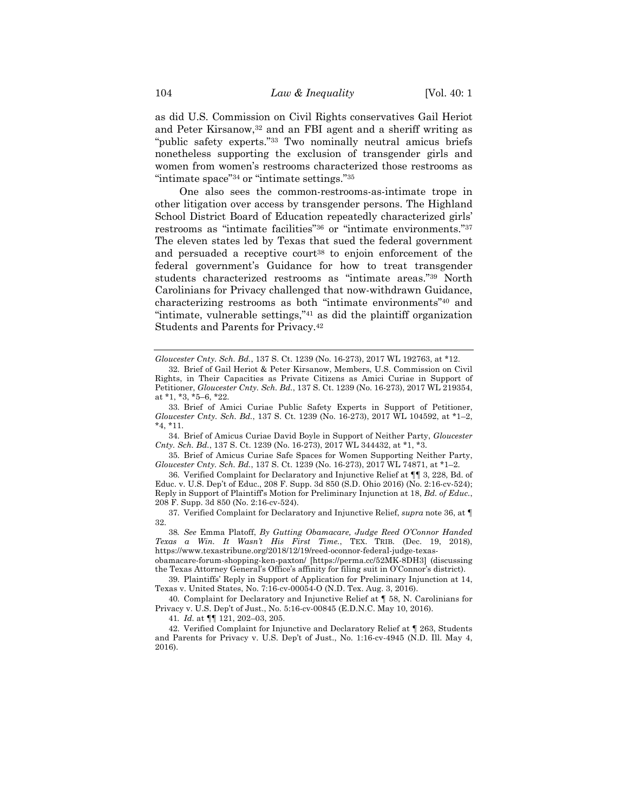as did U.S. Commission on Civil Rights conservatives Gail Heriot and Peter Kirsanow,32 and an FBI agent and a sheriff writing as "public safety experts."33 Two nominally neutral amicus briefs nonetheless supporting the exclusion of transgender girls and women from women's restrooms characterized those restrooms as "intimate space"34 or "intimate settings."35

One also sees the common-restrooms-as-intimate trope in other litigation over access by transgender persons. The Highland School District Board of Education repeatedly characterized girls' restrooms as "intimate facilities"36 or "intimate environments."37 The eleven states led by Texas that sued the federal government and persuaded a receptive court<sup>38</sup> to enjoin enforcement of the federal government's Guidance for how to treat transgender students characterized restrooms as "intimate areas."39 North Carolinians for Privacy challenged that now-withdrawn Guidance, characterizing restrooms as both "intimate environments"40 and "intimate, vulnerable settings,"41 as did the plaintiff organization Students and Parents for Privacy.42

34. Brief of Amicus Curiae David Boyle in Support of Neither Party, *Gloucester Cnty. Sch. Bd.*, 137 S. Ct. 1239 (No. 16-273), 2017 WL 344432, at \*1, \*3.

35. Brief of Amicus Curiae Safe Spaces for Women Supporting Neither Party, *Gloucester Cnty. Sch. Bd.*, 137 S. Ct. 1239 (No. 16-273), 2017 WL 74871, at \*1–2.

36. Verified Complaint for Declaratory and Injunctive Relief at ¶¶ 3, 228, Bd. of Educ. v. U.S. Dep't of Educ., 208 F. Supp. 3d 850 (S.D. Ohio 2016) (No. 2:16-cv-524); Reply in Support of Plaintiff's Motion for Preliminary Injunction at 18, *Bd. of Educ.*, 208 F. Supp. 3d 850 (No. 2:16-cv-524).

37. Verified Complaint for Declaratory and Injunctive Relief, *supra* note 36, at ¶ 32.

38*. See* Emma Platoff, *By Gutting Obamacare, Judge Reed O'Connor Handed Texas a Win. It Wasn't His First Time.*, TEX. TRIB. (Dec. 19, 2018), https://www.texastribune.org/2018/12/19/reed-oconnor-federal-judge-texas-

obamacare-forum-shopping-ken-paxton/ [https://perma.cc/52MK-8DH3] (discussing the Texas Attorney General's Office's affinity for filing suit in O'Connor's district).

39. Plaintiffs' Reply in Support of Application for Preliminary Injunction at 14, Texas v. United States, No. 7:16-cv-00054-O (N.D. Tex. Aug. 3, 2016).

40. Complaint for Declaratory and Injunctive Relief at ¶ 58, N. Carolinians for Privacy v. U.S. Dep't of Just., No. 5:16-cv-00845 (E.D.N.C. May 10, 2016).

41*. Id.* at ¶¶ 121, 202–03, 205.

42. Verified Complaint for Injunctive and Declaratory Relief at ¶ 263, Students and Parents for Privacy v. U.S. Dep't of Just., No. 1:16-cv-4945 (N.D. Ill. May 4, 2016).

*Gloucester Cnty. Sch. Bd.*, 137 S. Ct. 1239 (No. 16-273), 2017 WL 192763, at \*12.

<sup>32.</sup> Brief of Gail Heriot & Peter Kirsanow, Members, U.S. Commission on Civil Rights, in Their Capacities as Private Citizens as Amici Curiae in Support of Petitioner, *Gloucester Cnty. Sch. Bd.*, 137 S. Ct. 1239 (No. 16-273), 2017 WL 219354, at \*1, \*3, \*5–6, \*22.

<sup>33.</sup> Brief of Amici Curiae Public Safety Experts in Support of Petitioner, *Gloucester Cnty. Sch. Bd.*, 137 S. Ct. 1239 (No. 16-273), 2017 WL 104592, at \*1–2,  $*4, *11.$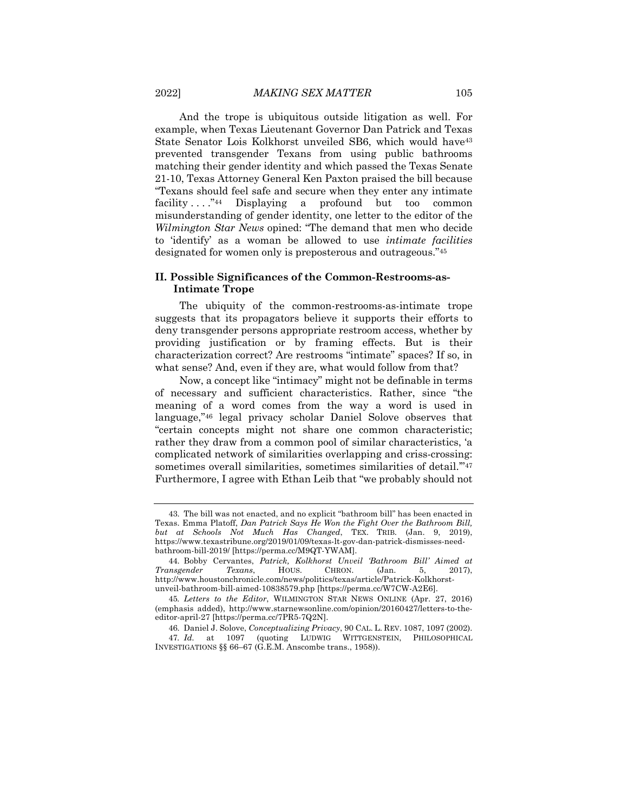And the trope is ubiquitous outside litigation as well. For example, when Texas Lieutenant Governor Dan Patrick and Texas State Senator Lois Kolkhorst unveiled SB6, which would have<sup>43</sup> prevented transgender Texans from using public bathrooms matching their gender identity and which passed the Texas Senate 21-10, Texas Attorney General Ken Paxton praised the bill because "Texans should feel safe and secure when they enter any intimate facility . . . . . "44 Displaying a profound but too common misunderstanding of gender identity, one letter to the editor of the *Wilmington Star News* opined: "The demand that men who decide to 'identify' as a woman be allowed to use *intimate facilities* designated for women only is preposterous and outrageous."45

## **II. Possible Significances of the Common-Restrooms-as-Intimate Trope**

The ubiquity of the common-restrooms-as-intimate trope suggests that its propagators believe it supports their efforts to deny transgender persons appropriate restroom access, whether by providing justification or by framing effects. But is their characterization correct? Are restrooms "intimate" spaces? If so, in what sense? And, even if they are, what would follow from that?

Now, a concept like "intimacy" might not be definable in terms of necessary and sufficient characteristics. Rather, since "the meaning of a word comes from the way a word is used in language,"46 legal privacy scholar Daniel Solove observes that "certain concepts might not share one common characteristic; rather they draw from a common pool of similar characteristics, 'a complicated network of similarities overlapping and criss-crossing: sometimes overall similarities, sometimes similarities of detail."<sup>47</sup> Furthermore, I agree with Ethan Leib that "we probably should not

<sup>43.</sup> The bill was not enacted, and no explicit "bathroom bill" has been enacted in Texas. Emma Platoff, *Dan Patrick Says He Won the Fight Over the Bathroom Bill, but at Schools Not Much Has Changed*, TEX. TRIB. (Jan. 9, 2019), https://www.texastribune.org/2019/01/09/texas-lt-gov-dan-patrick-dismisses-needbathroom-bill-2019/ [https://perma.cc/M9QT-YWAM].

<sup>44.</sup> Bobby Cervantes, *Patrick, Kolkhorst Unveil 'Bathroom Bill' Aimed at Transgender Texans*, HOUS. CHRON. (Jan. 5, 2017), http://www.houstonchronicle.com/news/politics/texas/article/Patrick-Kolkhorstunveil-bathroom-bill-aimed-10838579.php [https://perma.cc/W7CW-A2E6].

<sup>45</sup>*. Letters to the Editor*, WILMINGTON STAR NEWS ONLINE (Apr. 27, 2016) (emphasis added), http://www.starnewsonline.com/opinion/20160427/letters-to-theeditor-april-27 [https://perma.cc/7PR5-7Q2N].

<sup>46.</sup> Daniel J. Solove, *Conceptualizing Privacy*, 90 CAL. L. REV. 1087, 1097 (2002). 47*. Id.* at 1097 (quoting LUDWIG WITTGENSTEIN, PHILOSOPHICAL INVESTIGATIONS §§ 66–67 (G.E.M. Anscombe trans., 1958)).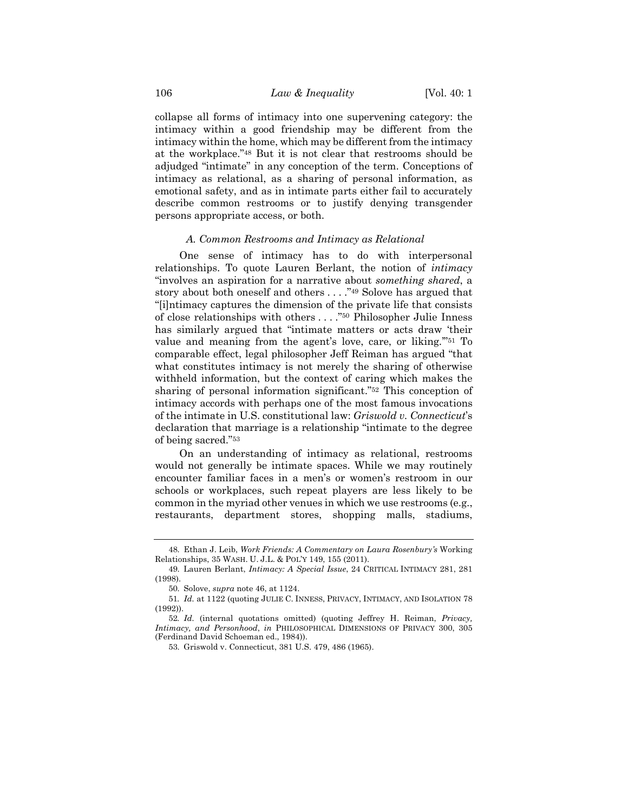collapse all forms of intimacy into one supervening category: the intimacy within a good friendship may be different from the intimacy within the home, which may be different from the intimacy at the workplace."48 But it is not clear that restrooms should be adjudged "intimate" in any conception of the term. Conceptions of intimacy as relational, as a sharing of personal information, as emotional safety, and as in intimate parts either fail to accurately describe common restrooms or to justify denying transgender persons appropriate access, or both.

#### *A. Common Restrooms and Intimacy as Relational*

One sense of intimacy has to do with interpersonal relationships. To quote Lauren Berlant, the notion of *intimacy* "involves an aspiration for a narrative about *something shared*, a story about both oneself and others . . . ."49 Solove has argued that "[i]ntimacy captures the dimension of the private life that consists of close relationships with others . . . ."50 Philosopher Julie Inness has similarly argued that "intimate matters or acts draw 'their value and meaning from the agent's love, care, or liking.'"51 To comparable effect, legal philosopher Jeff Reiman has argued "that what constitutes intimacy is not merely the sharing of otherwise withheld information, but the context of caring which makes the sharing of personal information significant."52 This conception of intimacy accords with perhaps one of the most famous invocations of the intimate in U.S. constitutional law: *Griswold v. Connecticut*'s declaration that marriage is a relationship "intimate to the degree of being sacred."53

On an understanding of intimacy as relational, restrooms would not generally be intimate spaces. While we may routinely encounter familiar faces in a men's or women's restroom in our schools or workplaces, such repeat players are less likely to be common in the myriad other venues in which we use restrooms (e.g., restaurants, department stores, shopping malls, stadiums,

<sup>48.</sup> Ethan J. Leib, *Work Friends: A Commentary on Laura Rosenbury's* Working Relationships, 35 WASH. U. J.L. & POL'Y 149, 155 (2011).

<sup>49.</sup> Lauren Berlant, *Intimacy: A Special Issue*, 24 CRITICAL INTIMACY 281, 281 (1998).

<sup>50.</sup> Solove, *supra* note 46, at 1124.

<sup>51</sup>*. Id.* at 1122 (quoting JULIE C. INNESS, PRIVACY, INTIMACY, AND ISOLATION 78 (1992)).

<sup>52</sup>*. Id.* (internal quotations omitted) (quoting Jeffrey H. Reiman, *Privacy, Intimacy, and Personhood*, *in* PHILOSOPHICAL DIMENSIONS OF PRIVACY 300, 305 (Ferdinand David Schoeman ed., 1984)).

<sup>53.</sup> Griswold v. Connecticut, 381 U.S. 479, 486 (1965).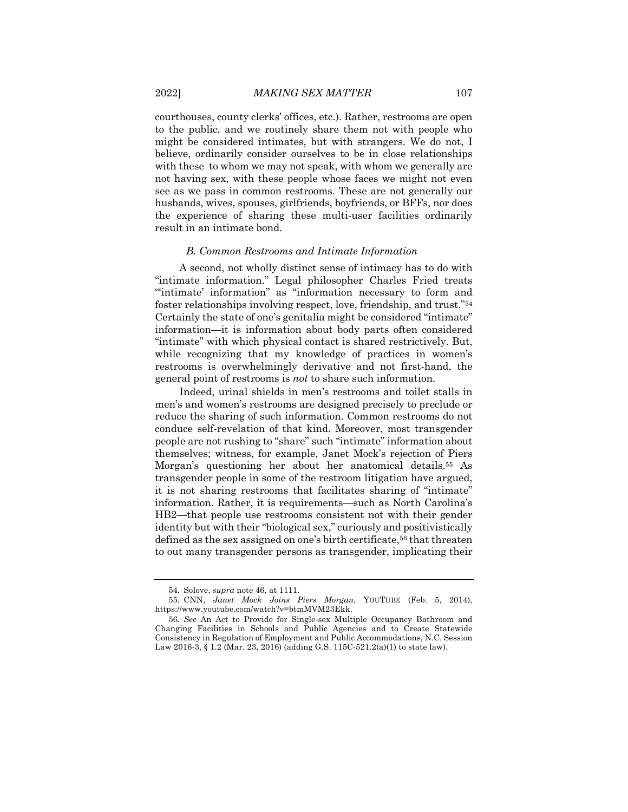courthouses, county clerks' offices, etc.). Rather, restrooms are open to the public, and we routinely share them not with people who might be considered intimates, but with strangers. We do not, I believe, ordinarily consider ourselves to be in close relationships with these to whom we may not speak, with whom we generally are not having sex, with these people whose faces we might not even see as we pass in common restrooms. These are not generally our husbands, wives, spouses, girlfriends, boyfriends, or BFFs, nor does the experience of sharing these multi-user facilities ordinarily result in an intimate bond.

#### *B. Common Restrooms and Intimate Information*

A second, not wholly distinct sense of intimacy has to do with "intimate information." Legal philosopher Charles Fried treats "'intimate' information" as "information necessary to form and foster relationships involving respect, love, friendship, and trust."54 Certainly the state of one's genitalia might be considered "intimate" information—it is information about body parts often considered "intimate" with which physical contact is shared restrictively. But, while recognizing that my knowledge of practices in women's restrooms is overwhelmingly derivative and not first-hand, the general point of restrooms is *not* to share such information.

Indeed, urinal shields in men's restrooms and toilet stalls in men's and women's restrooms are designed precisely to preclude or reduce the sharing of such information. Common restrooms do not conduce self-revelation of that kind. Moreover, most transgender people are not rushing to "share" such "intimate" information about themselves; witness, for example, Janet Mock's rejection of Piers Morgan's questioning her about her anatomical details.55 As transgender people in some of the restroom litigation have argued, it is not sharing restrooms that facilitates sharing of "intimate" information. Rather, it is requirements—such as North Carolina's HB2—that people use restrooms consistent not with their gender identity but with their "biological sex," curiously and positivistically defined as the sex assigned on one's birth certificate,<sup>56</sup> that threaten to out many transgender persons as transgender, implicating their

<sup>54.</sup> Solove, *supra* note 46, at 1111.

<sup>55.</sup> CNN, *Janet Mock Joins Piers Morgan*, YOUTUBE (Feb. 5, 2014), https://www.youtube.com/watch?v=btmMVM23Ekk.

<sup>56</sup>*. See* An Act to Provide for Single-sex Multiple Occupancy Bathroom and Changing Facilities in Schools and Public Agencies and to Create Statewide Consistency in Regulation of Employment and Public Accommodations, N.C. Session Law 2016-3, § 1.2 (Mar. 23, 2016) (adding G.S. 115C-521.2(a)(1) to state law).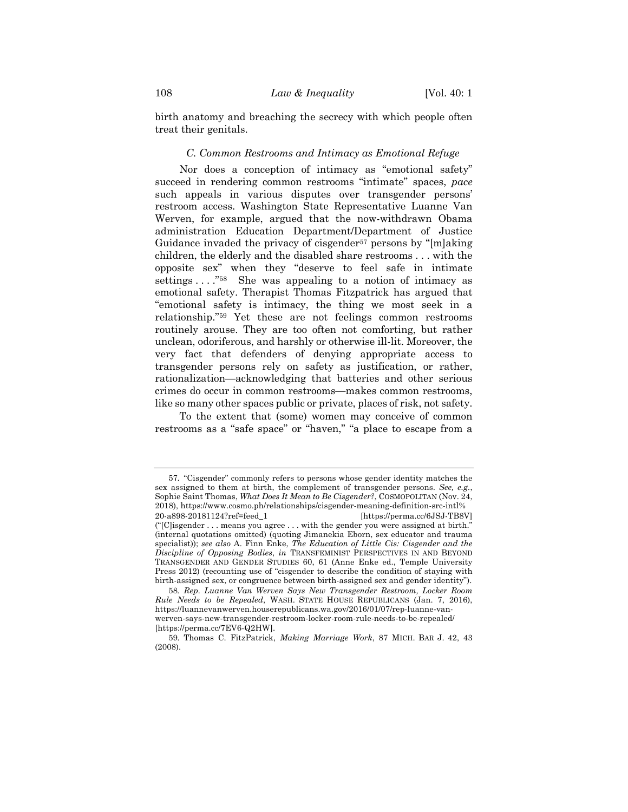birth anatomy and breaching the secrecy with which people often treat their genitals.

#### *C. Common Restrooms and Intimacy as Emotional Refuge*

Nor does a conception of intimacy as "emotional safety" succeed in rendering common restrooms "intimate" spaces, *pace* such appeals in various disputes over transgender persons' restroom access. Washington State Representative Luanne Van Werven, for example, argued that the now-withdrawn Obama administration Education Department/Department of Justice Guidance invaded the privacy of cisgender<sup>57</sup> persons by "[m]aking children, the elderly and the disabled share restrooms . . . with the opposite sex" when they "deserve to feel safe in intimate settings . . . . "<sup>58</sup> She was appealing to a notion of intimacy as emotional safety. Therapist Thomas Fitzpatrick has argued that "emotional safety is intimacy, the thing we most seek in a relationship."59 Yet these are not feelings common restrooms routinely arouse. They are too often not comforting, but rather unclean, odoriferous, and harshly or otherwise ill-lit. Moreover, the very fact that defenders of denying appropriate access to transgender persons rely on safety as justification, or rather, rationalization—acknowledging that batteries and other serious crimes do occur in common restrooms—makes common restrooms, like so many other spaces public or private, places of risk, not safety.

To the extent that (some) women may conceive of common restrooms as a "safe space" or "haven," "a place to escape from a

<sup>57.</sup> "Cisgender" commonly refers to persons whose gender identity matches the sex assigned to them at birth, the complement of transgender persons. *See, e.g.*, Sophie Saint Thomas, *What Does It Mean to Be Cisgender?*, COSMOPOLITAN (Nov. 24, 2018), https://www.cosmo.ph/relationships/cisgender-meaning-definition-src-intl% 20-a898-20181124?ref=feed\_1 [https://perma.cc/6JSJ-TB8V]

<sup>(&</sup>quot;[C]isgender . . . means you agree . . . with the gender you were assigned at birth." (internal quotations omitted) (quoting Jimanekia Eborn, sex educator and trauma specialist)); *see also* A. Finn Enke, *The Education of Little Cis: Cisgender and the Discipline of Opposing Bodies*, *in* TRANSFEMINIST PERSPECTIVES IN AND BEYOND TRANSGENDER AND GENDER STUDIES 60, 61 (Anne Enke ed., Temple University Press 2012) (recounting use of "cisgender to describe the condition of staying with birth-assigned sex, or congruence between birth-assigned sex and gender identity").

<sup>58</sup>*. Rep. Luanne Van Werven Says New Transgender Restroom, Locker Room Rule Needs to be Repealed*, WASH. STATE HOUSE REPUBLICANS (Jan. 7, 2016), https://luannevanwerven.houserepublicans.wa.gov/2016/01/07/rep-luanne-vanwerven-says-new-transgender-restroom-locker-room-rule-needs-to-be-repealed/ [https://perma.cc/7EV6-Q2HW].

<sup>59.</sup> Thomas C. FitzPatrick, *Making Marriage Work*, 87 MICH. BAR J. 42, 43 (2008).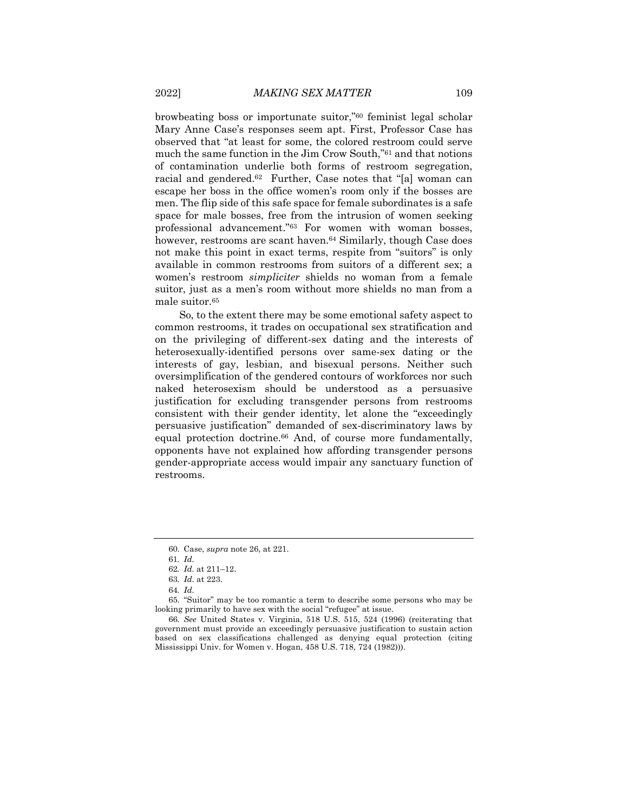browbeating boss or importunate suitor,"60 feminist legal scholar Mary Anne Case's responses seem apt. First, Professor Case has observed that "at least for some, the colored restroom could serve much the same function in the Jim Crow South,"61 and that notions of contamination underlie both forms of restroom segregation, racial and gendered.<sup>62</sup> Further, Case notes that "[a] woman can escape her boss in the office women's room only if the bosses are men. The flip side of this safe space for female subordinates is a safe space for male bosses, free from the intrusion of women seeking professional advancement."63 For women with woman bosses, however, restrooms are scant haven.<sup>64</sup> Similarly, though Case does not make this point in exact terms, respite from "suitors" is only available in common restrooms from suitors of a different sex; a women's restroom *simpliciter* shields no woman from a female suitor, just as a men's room without more shields no man from a male suitor.65

So, to the extent there may be some emotional safety aspect to common restrooms, it trades on occupational sex stratification and on the privileging of different-sex dating and the interests of heterosexually-identified persons over same-sex dating or the interests of gay, lesbian, and bisexual persons. Neither such oversimplification of the gendered contours of workforces nor such naked heterosexism should be understood as a persuasive justification for excluding transgender persons from restrooms consistent with their gender identity, let alone the "exceedingly persuasive justification" demanded of sex-discriminatory laws by equal protection doctrine.66 And, of course more fundamentally, opponents have not explained how affording transgender persons gender-appropriate access would impair any sanctuary function of restrooms.

<sup>60.</sup> Case, *supra* note 26, at 221.

<sup>61</sup>*. Id.*

<sup>62</sup>*. Id.* at 211–12.

<sup>63</sup>*. Id.* at 223.

<sup>64</sup>*. Id.*

<sup>65.</sup> "Suitor" may be too romantic a term to describe some persons who may be looking primarily to have sex with the social "refugee" at issue.

<sup>66</sup>*. See* United States v. Virginia, 518 U.S. 515, 524 (1996) (reiterating that government must provide an exceedingly persuasive justification to sustain action based on sex classifications challenged as denying equal protection (citing Mississippi Univ. for Women v. Hogan, 458 U.S. 718, 724 (1982))).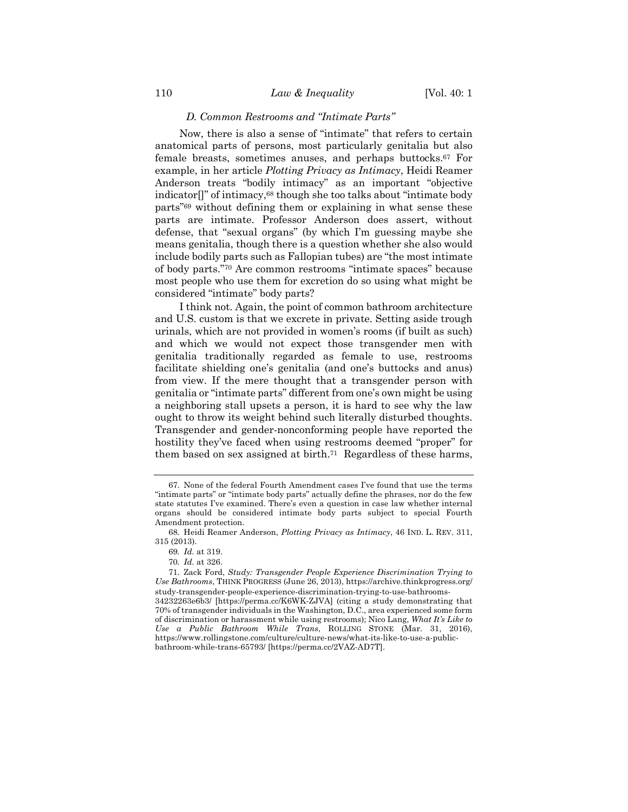#### *D. Common Restrooms and "Intimate Parts"*

Now, there is also a sense of "intimate" that refers to certain anatomical parts of persons, most particularly genitalia but also female breasts, sometimes anuses, and perhaps buttocks.67 For example, in her article *Plotting Privacy as Intimacy*, Heidi Reamer Anderson treats "bodily intimacy" as an important "objective indicator[]" of intimacy,68 though she too talks about "intimate body parts"69 without defining them or explaining in what sense these parts are intimate. Professor Anderson does assert, without defense, that "sexual organs" (by which I'm guessing maybe she means genitalia, though there is a question whether she also would include bodily parts such as Fallopian tubes) are "the most intimate of body parts."70 Are common restrooms "intimate spaces" because most people who use them for excretion do so using what might be considered "intimate" body parts?

I think not. Again, the point of common bathroom architecture and U.S. custom is that we excrete in private. Setting aside trough urinals, which are not provided in women's rooms (if built as such) and which we would not expect those transgender men with genitalia traditionally regarded as female to use, restrooms facilitate shielding one's genitalia (and one's buttocks and anus) from view. If the mere thought that a transgender person with genitalia or "intimate parts" different from one's own might be using a neighboring stall upsets a person, it is hard to see why the law ought to throw its weight behind such literally disturbed thoughts. Transgender and gender-nonconforming people have reported the hostility they've faced when using restrooms deemed "proper" for them based on sex assigned at birth.71 Regardless of these harms,

<sup>67.</sup> None of the federal Fourth Amendment cases I've found that use the terms "intimate parts" or "intimate body parts" actually define the phrases, nor do the few state statutes I've examined. There's even a question in case law whether internal organs should be considered intimate body parts subject to special Fourth Amendment protection.

<sup>68.</sup> Heidi Reamer Anderson, *Plotting Privacy as Intimacy*, 46 IND. L. REV. 311, 315 (2013).

<sup>69</sup>*. Id.* at 319.

<sup>70</sup>*. Id.* at 326.

<sup>71.</sup> Zack Ford, *Study: Transgender People Experience Discrimination Trying to Use Bathrooms*, THINK PROGRESS (June 26, 2013), https://archive.thinkprogress.org/ study-transgender-people-experience-discrimination-trying-to-use-bathrooms-34232263e6b3/ [https://perma.cc/K6WK-ZJVA] (citing a study demonstrating that 70% of transgender individuals in the Washington, D.C., area experienced some form of discrimination or harassment while using restrooms); Nico Lang, *What It's Like to Use a Public Bathroom While Trans*, ROLLING STONE (Mar. 31, 2016), https://www.rollingstone.com/culture/culture-news/what-its-like-to-use-a-public-

bathroom-while-trans-65793/ [https://perma.cc/2VAZ-AD7T].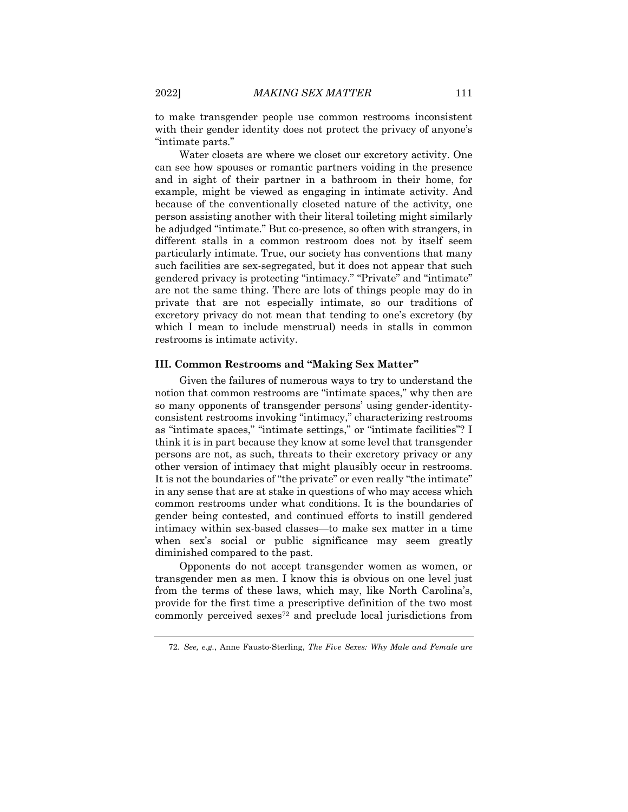to make transgender people use common restrooms inconsistent with their gender identity does not protect the privacy of anyone's "intimate parts."

Water closets are where we closet our excretory activity. One can see how spouses or romantic partners voiding in the presence and in sight of their partner in a bathroom in their home, for example, might be viewed as engaging in intimate activity. And because of the conventionally closeted nature of the activity, one person assisting another with their literal toileting might similarly be adjudged "intimate." But co-presence, so often with strangers, in different stalls in a common restroom does not by itself seem particularly intimate. True, our society has conventions that many such facilities are sex-segregated, but it does not appear that such gendered privacy is protecting "intimacy." "Private" and "intimate" are not the same thing. There are lots of things people may do in private that are not especially intimate, so our traditions of excretory privacy do not mean that tending to one's excretory (by which I mean to include menstrual) needs in stalls in common restrooms is intimate activity.

#### **III. Common Restrooms and "Making Sex Matter"**

Given the failures of numerous ways to try to understand the notion that common restrooms are "intimate spaces," why then are so many opponents of transgender persons' using gender-identityconsistent restrooms invoking "intimacy," characterizing restrooms as "intimate spaces," "intimate settings," or "intimate facilities"? I think it is in part because they know at some level that transgender persons are not, as such, threats to their excretory privacy or any other version of intimacy that might plausibly occur in restrooms. It is not the boundaries of "the private" or even really "the intimate" in any sense that are at stake in questions of who may access which common restrooms under what conditions. It is the boundaries of gender being contested, and continued efforts to instill gendered intimacy within sex-based classes—to make sex matter in a time when sex's social or public significance may seem greatly diminished compared to the past.

Opponents do not accept transgender women as women, or transgender men as men. I know this is obvious on one level just from the terms of these laws, which may, like North Carolina's, provide for the first time a prescriptive definition of the two most commonly perceived sexes72 and preclude local jurisdictions from

<sup>72</sup>*. See, e.g.*, Anne Fausto-Sterling, *The Five Sexes: Why Male and Female are*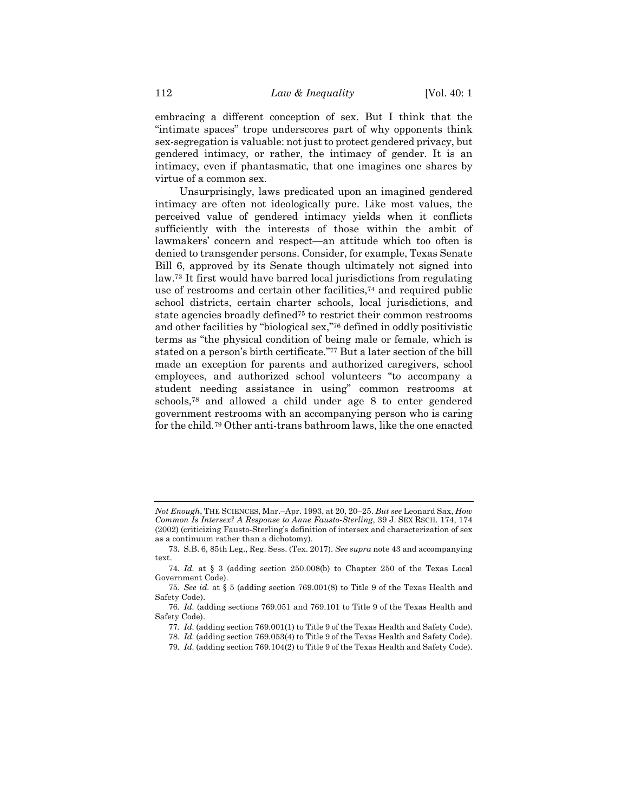embracing a different conception of sex. But I think that the "intimate spaces" trope underscores part of why opponents think sex-segregation is valuable: not just to protect gendered privacy, but gendered intimacy, or rather, the intimacy of gender. It is an intimacy, even if phantasmatic, that one imagines one shares by virtue of a common sex.

Unsurprisingly, laws predicated upon an imagined gendered intimacy are often not ideologically pure. Like most values, the perceived value of gendered intimacy yields when it conflicts sufficiently with the interests of those within the ambit of lawmakers' concern and respect—an attitude which too often is denied to transgender persons. Consider, for example, Texas Senate Bill 6, approved by its Senate though ultimately not signed into law.73 It first would have barred local jurisdictions from regulating use of restrooms and certain other facilities,74 and required public school districts, certain charter schools, local jurisdictions, and state agencies broadly defined75 to restrict their common restrooms and other facilities by "biological sex,"76 defined in oddly positivistic terms as "the physical condition of being male or female, which is stated on a person's birth certificate."77 But a later section of the bill made an exception for parents and authorized caregivers, school employees, and authorized school volunteers "to accompany a student needing assistance in using" common restrooms at schools,78 and allowed a child under age 8 to enter gendered government restrooms with an accompanying person who is caring for the child.79 Other anti-trans bathroom laws, like the one enacted

*Not Enough*, THE SCIENCES, Mar.–Apr. 1993, at 20, 20–25. *But see* Leonard Sax, *How Common Is Intersex? A Response to Anne Fausto-Sterling*, 39 J. SEX RSCH. 174, 174 (2002) (criticizing Fausto-Sterling's definition of intersex and characterization of sex as a continuum rather than a dichotomy).

<sup>73.</sup> S.B. 6, 85th Leg., Reg. Sess. (Tex. 2017). *See supra* note 43 and accompanying text.

<sup>74</sup>*. Id.* at § 3 (adding section 250.008(b) to Chapter 250 of the Texas Local Government Code).

<sup>75</sup>*. See id.* at § 5 (adding section 769.001(8) to Title 9 of the Texas Health and Safety Code).

<sup>76</sup>*. Id.* (adding sections 769.051 and 769.101 to Title 9 of the Texas Health and Safety Code).

<sup>77</sup>*. Id.* (adding section 769.001(1) to Title 9 of the Texas Health and Safety Code).

<sup>78</sup>*. Id.* (adding section 769.053(4) to Title 9 of the Texas Health and Safety Code).

<sup>79</sup>*. Id.* (adding section 769.104(2) to Title 9 of the Texas Health and Safety Code).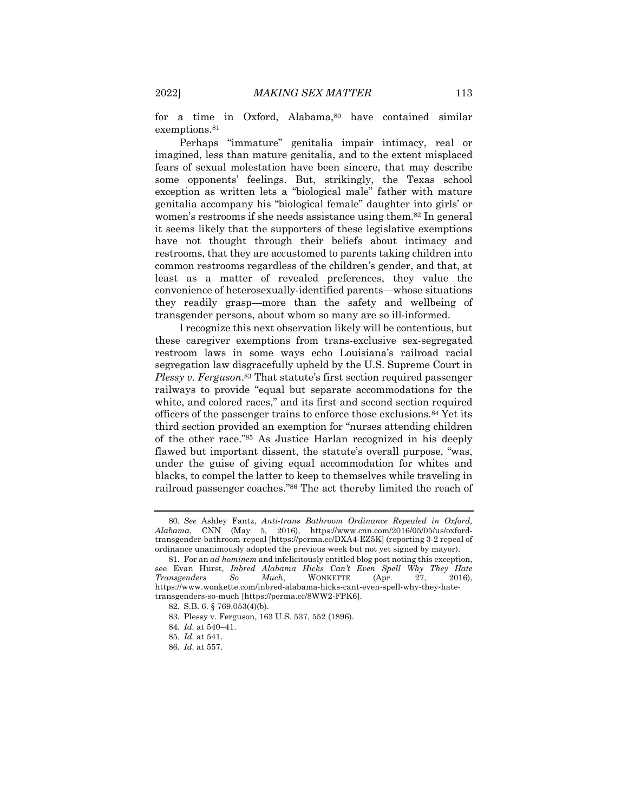for a time in Oxford, Alabama,<sup>80</sup> have contained similar exemptions.<sup>81</sup>

Perhaps "immature" genitalia impair intimacy, real or imagined, less than mature genitalia, and to the extent misplaced fears of sexual molestation have been sincere, that may describe some opponents' feelings. But, strikingly, the Texas school exception as written lets a "biological male" father with mature genitalia accompany his "biological female" daughter into girls' or women's restrooms if she needs assistance using them.82 In general it seems likely that the supporters of these legislative exemptions have not thought through their beliefs about intimacy and restrooms, that they are accustomed to parents taking children into common restrooms regardless of the children's gender, and that, at least as a matter of revealed preferences, they value the convenience of heterosexually-identified parents—whose situations they readily grasp—more than the safety and wellbeing of transgender persons, about whom so many are so ill-informed.

I recognize this next observation likely will be contentious, but these caregiver exemptions from trans-exclusive sex-segregated restroom laws in some ways echo Louisiana's railroad racial segregation law disgracefully upheld by the U.S. Supreme Court in *Plessy v. Ferguson*.83 That statute's first section required passenger railways to provide "equal but separate accommodations for the white, and colored races," and its first and second section required officers of the passenger trains to enforce those exclusions.84 Yet its third section provided an exemption for "nurses attending children of the other race."85 As Justice Harlan recognized in his deeply flawed but important dissent, the statute's overall purpose, "was, under the guise of giving equal accommodation for whites and blacks, to compel the latter to keep to themselves while traveling in railroad passenger coaches."86 The act thereby limited the reach of

<sup>80</sup>*. See* Ashley Fantz, *Anti-trans Bathroom Ordinance Repealed in Oxford, Alabama*, CNN (May 5, 2016), https://www.cnn.com/2016/05/05/us/oxfordtransgender-bathroom-repeal [https://perma.cc/DXA4-EZ5K] (reporting 3-2 repeal of ordinance unanimously adopted the previous week but not yet signed by mayor).

<sup>81.</sup> For an *ad hominem* and infelicitously entitled blog post noting this exception, see Evan Hurst, *Inbred Alabama Hicks Can't Even Spell Why They Hate Transgenders* So *Much*, WONKETTE (Apr. 27, https://www.wonkette.com/inbred-alabama-hicks-cant-even-spell-why-they-hatetransgenders-so-much [https://perma.cc/8WW2-FPK6].

<sup>82.</sup> S.B. 6. § 769.053(4)(b).

<sup>83.</sup> Plessy v. Ferguson, 163 U.S. 537, 552 (1896).

<sup>84</sup>*. Id.* at 540–41.

<sup>85</sup>*. Id.* at 541.

<sup>86</sup>*. Id.* at 557.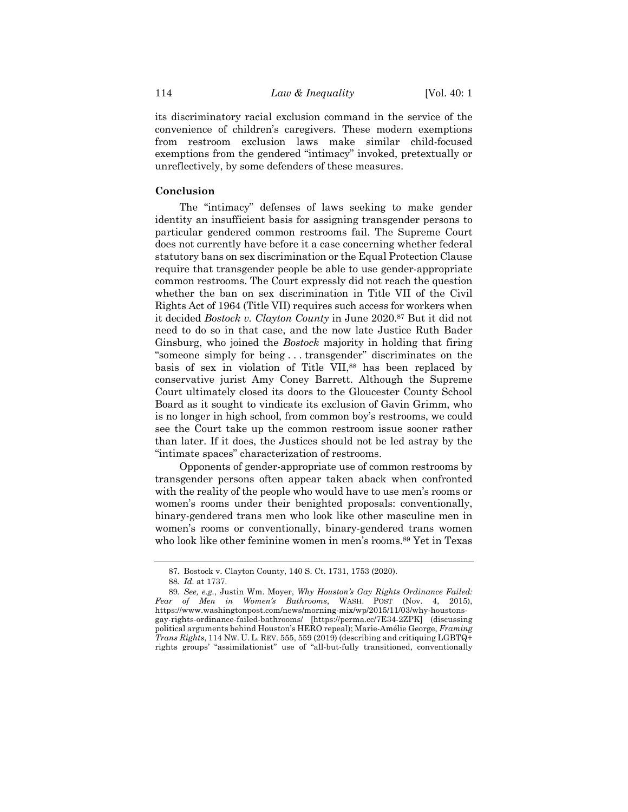its discriminatory racial exclusion command in the service of the convenience of children's caregivers. These modern exemptions from restroom exclusion laws make similar child-focused exemptions from the gendered "intimacy" invoked, pretextually or unreflectively, by some defenders of these measures.

#### **Conclusion**

The "intimacy" defenses of laws seeking to make gender identity an insufficient basis for assigning transgender persons to particular gendered common restrooms fail. The Supreme Court does not currently have before it a case concerning whether federal statutory bans on sex discrimination or the Equal Protection Clause require that transgender people be able to use gender-appropriate common restrooms. The Court expressly did not reach the question whether the ban on sex discrimination in Title VII of the Civil Rights Act of 1964 (Title VII) requires such access for workers when it decided *Bostock v. Clayton County* in June 2020.87 But it did not need to do so in that case, and the now late Justice Ruth Bader Ginsburg, who joined the *Bostock* majority in holding that firing "someone simply for being . . . transgender" discriminates on the basis of sex in violation of Title VII,<sup>88</sup> has been replaced by conservative jurist Amy Coney Barrett. Although the Supreme Court ultimately closed its doors to the Gloucester County School Board as it sought to vindicate its exclusion of Gavin Grimm, who is no longer in high school, from common boy's restrooms, we could see the Court take up the common restroom issue sooner rather than later. If it does, the Justices should not be led astray by the "intimate spaces" characterization of restrooms.

Opponents of gender-appropriate use of common restrooms by transgender persons often appear taken aback when confronted with the reality of the people who would have to use men's rooms or women's rooms under their benighted proposals: conventionally, binary-gendered trans men who look like other masculine men in women's rooms or conventionally, binary-gendered trans women who look like other feminine women in men's rooms.89 Yet in Texas

<sup>87.</sup> Bostock v. Clayton County, 140 S. Ct. 1731, 1753 (2020).

<sup>88</sup>*. Id.* at 1737.

<sup>89</sup>*. See, e.g.*, Justin Wm. Moyer, *Why Houston's Gay Rights Ordinance Failed: Fear of Men in Women's Bathrooms*, WASH. POST (Nov. 4, 2015), https://www.washingtonpost.com/news/morning-mix/wp/2015/11/03/why-houstonsgay-rights-ordinance-failed-bathrooms/ [https://perma.cc/7E34-2ZPK] (discussing political arguments behind Houston's HERO repeal); Marie-Amélie George, *Framing Trans Rights*, 114 NW. U. L. REV. 555, 559 (2019) (describing and critiquing LGBTQ+ rights groups' "assimilationist" use of "all-but-fully transitioned, conventionally